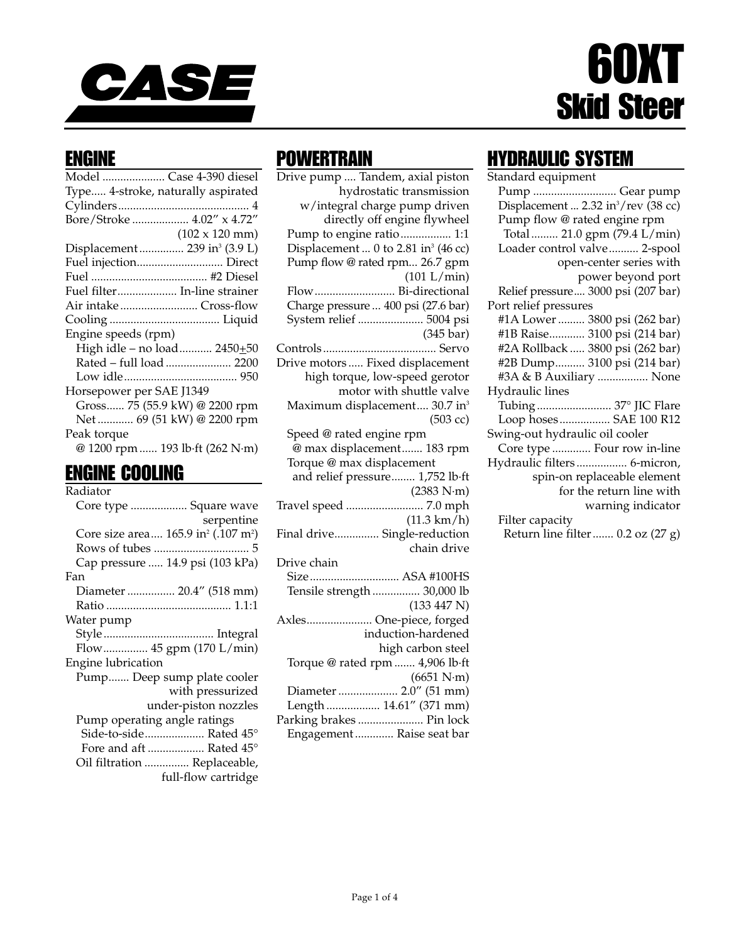

# 60XT Skid Steer

### ENGINE

| Model  Case 4-390 diesel                  |                                 |
|-------------------------------------------|---------------------------------|
| Type 4-stroke, naturally aspirated        |                                 |
|                                           |                                 |
| Bore/Stroke  4.02" x 4.72"                |                                 |
|                                           | $(102 \times 120 \text{ mm})$   |
| Displacement  239 in <sup>3</sup> (3.9 L) |                                 |
| Fuel injection Direct                     |                                 |
|                                           |                                 |
| Fuel filter In-line strainer              |                                 |
| Air intakeCross-flow                      |                                 |
|                                           |                                 |
| Engine speeds (rpm)                       |                                 |
|                                           | High idle - no load 2450+50     |
|                                           | Rated - full load  2200         |
|                                           |                                 |
| Horsepower per SAE J1349                  |                                 |
|                                           | Gross 75 (55.9 kW) @ 2200 rpm   |
|                                           | Net  69 (51 kW) @ 2200 rpm      |
| Peak torque                               |                                 |
|                                           | @ 1200 rpm  193 lb·ft (262 N·m) |
|                                           |                                 |

### ENGINE COOLING

| Radiator                                                    |
|-------------------------------------------------------------|
| Core type  Square wave                                      |
| serpentine                                                  |
| Core size area 165.9 in <sup>2</sup> (.107 m <sup>2</sup> ) |
|                                                             |
| Cap pressure  14.9 psi (103 kPa)                            |
| Fan                                                         |
| Diameter  20.4" (518 mm)                                    |
|                                                             |
| Water pump                                                  |
|                                                             |
| Flow 45 gpm (170 L/min)                                     |
| Engine lubrication                                          |
| Pump Deep sump plate cooler                                 |
| with pressurized                                            |
| under-piston nozzles                                        |
| Pump operating angle ratings                                |
| Side-to-side Rated 45°                                      |
| Fore and aft  Rated 45°                                     |
| Oil filtration  Replaceable,                                |
| full-flow cartridge                                         |

### **POWERTRAIN**

Drive pump .... Tandem, axial piston hydrostatic transmission w/integral charge pump driven directly off engine flywheel Pump to engine ratio................. 1:1 Displacement ... 0 to 2.81 in<sup>3</sup> (46 cc) Pump flow @ rated rpm... 26.7 gpm (101 L/min) Flow........................... Bi-directional Charge pressure ... 400 psi (27.6 bar) System relief ...................... 5004 psi (345 bar) Controls...................................... Servo Drive motors ..... Fixed displacement high torque, low-speed gerotor motor with shuttle valve Maximum displacement.... 30.7 in<sup>3</sup> (503 cc) Speed @ rated engine rpm @ max displacement....... 183 rpm Torque @ max displacement and relief pressure........ 1,752 lb·ft (2383 N·m) Travel speed .......................... 7.0 mph (11.3 km/h) Final drive............... Single-reduction chain drive Drive chain Size.............................. ASA #100HS Tensile strength ................ 30,000 lb (133 447 N) Axles...................... One-piece, forged induction-hardened high carbon steel Torque @ rated rpm ....... 4,906 lb·ft (6651 N·m) Diameter .................... 2.0" (51 mm) Length .................. 14.61" (371 mm) Parking brakes ...................... Pin lock

### HYDRAULIC SYSTEM

| Standard equipment                              |
|-------------------------------------------------|
| Pump  Gear pump                                 |
| Displacement  2.32 in <sup>3</sup> /rev (38 cc) |
| Pump flow @ rated engine rpm                    |
| Total  21.0 gpm (79.4 L/min)                    |
| Loader control valve 2-spool                    |
| open-center series with                         |
| power beyond port                               |
| Relief pressure 3000 psi (207 bar)              |
| Port relief pressures                           |
| #1A Lower  3800 psi (262 bar)                   |
| #1B Raise 3100 psi (214 bar)                    |
| #2A Rollback  3800 psi (262 bar)                |
| #2B Dump 3100 psi (214 bar)                     |
| #3A & B Auxiliary  None                         |
| Hydraulic lines                                 |
| Tubing  37° JIC Flare                           |
| Loop hoses SAE 100 R12                          |
| Swing-out hydraulic oil cooler                  |
| Core type  Four row in-line                     |
| Hydraulic filters 6-micron,                     |
| spin-on replaceable element                     |
| for the return line with                        |
| warning indicator                               |
| Filter capacity                                 |
| Return line filter  0.2 oz (27 g)               |

Engagement ............. Raise seat bar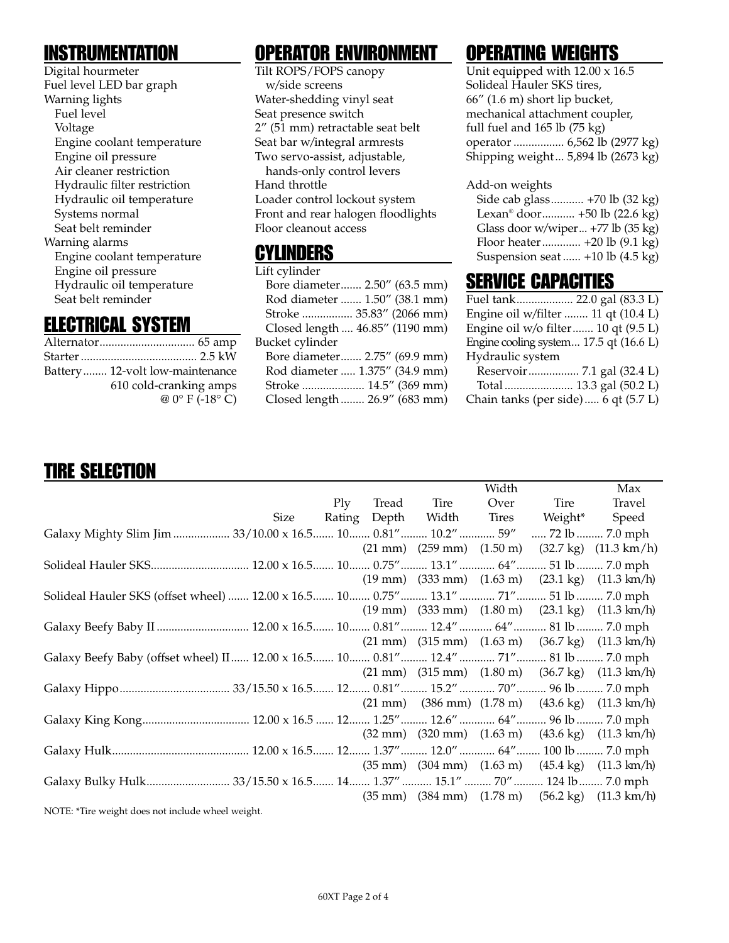### INSTRUMENTATION

Digital hourmeter Fuel level LED bar graph Warning lights Fuel level Voltage Engine coolant temperature Engine oil pressure Air cleaner restriction Hydraulic filter restriction Hydraulic oil temperature Systems normal Seat belt reminder Warning alarms Engine coolant temperature Engine oil pressure Hydraulic oil temperature Seat belt reminder

## ELECTRICAL SYSTEM

| Battery 12-volt low-maintenance |
|---------------------------------|
| 610 cold-cranking amps          |
| $@0° F (-18° C)$                |

### OPERATOR ENVIRONMENT

Tilt ROPS/FOPS canopy w/side screens Water-shedding vinyl seat Seat presence switch 2" (51 mm) retractable seat belt Seat bar w/integral armrests Two servo-assist, adjustable, hands-only control levers Hand throttle Loader control lockout system Front and rear halogen floodlights Floor cleanout access

### CYLINDERS

| Lift cylinder                   |
|---------------------------------|
| Bore diameter 2.50" (63.5 mm)   |
| Rod diameter  1.50" (38.1 mm)   |
| Stroke  35.83" (2066 mm)        |
| Closed length  46.85" (1190 mm) |
| Bucket cylinder                 |
| Bore diameter 2.75" (69.9 mm)   |
| Rod diameter  1.375" (34.9 mm)  |
| Stroke  14.5" (369 mm)          |
| Closed length  26.9" (683 mm)   |
|                                 |

# OPERATING WEIGHTS

Unit equipped with 12.00 x 16.5 Solideal Hauler SKS tires, 66" (1.6 m) short lip bucket, mechanical attachment coupler, full fuel and 165 lb (75 kg) operator ................. 6,562 lb (2977 kg) Shipping weight... 5,894 lb (2673 kg)

#### Add-on weights

| Side cab glass +70 lb (32 kg)               |
|---------------------------------------------|
| Lexan <sup>®</sup> door +50 lb (22.6 kg)    |
| Glass door w/wiper +77 lb (35 kg)           |
| Floor heater +20 lb (9.1 kg)                |
| Suspension seat $+10$ lb $(4.5 \text{ kg})$ |
|                                             |

### SERVICE CAPACITIES

| Fuel tank 22.0 gal (83.3 L)                        |  |
|----------------------------------------------------|--|
| Engine oil w/filter  11 qt (10.4 L)                |  |
| Engine oil w/o filter 10 qt (9.5 L)                |  |
| Engine cooling system $17.5$ qt $(16.6 \text{ L})$ |  |
| Hydraulic system                                   |  |
|                                                    |  |
|                                                    |  |

#### Chain tanks (per side)..... 6 qt (5.7 L)

# TIRE SELECTION

|                                                                                         |      |            |                                  | Width |                | Max                                                                                               |
|-----------------------------------------------------------------------------------------|------|------------|----------------------------------|-------|----------------|---------------------------------------------------------------------------------------------------|
|                                                                                         |      | $\rm{Ply}$ | Tread Tire                       | Over  | Tire           | Travel                                                                                            |
|                                                                                         | Size |            | Rating Depth Width Tires Weight* |       |                | Speed                                                                                             |
| Galaxy Mighty Slim Jim  33/10.00 x 16.5  10  0.81"  10.2"  59"                          |      |            |                                  |       | 72 lb  7.0 mph |                                                                                                   |
|                                                                                         |      |            |                                  |       |                | $(21 \text{ mm})$ $(259 \text{ mm})$ $(1.50 \text{ m})$ $(32.7 \text{ kg})$ $(11.3 \text{ km/h})$ |
|                                                                                         |      |            |                                  |       |                |                                                                                                   |
|                                                                                         |      |            |                                  |       |                | $(19 \text{ mm})$ $(333 \text{ mm})$ $(1.63 \text{ m})$ $(23.1 \text{ kg})$ $(11.3 \text{ km/h})$ |
| Solideal Hauler SKS (offset wheel)  12.00 x 16.5  10  0.75"  13.1"  71"  51 lb  7.0 mph |      |            |                                  |       |                |                                                                                                   |
|                                                                                         |      |            |                                  |       |                | $(19 \text{ mm})$ $(333 \text{ mm})$ $(1.80 \text{ m})$ $(23.1 \text{ kg})$ $(11.3 \text{ km/h})$ |
| Galaxy Beefy Baby II  12.00 x 16.5 10 0.81" 12.4"  64" 81 lb  7.0 mph                   |      |            |                                  |       |                |                                                                                                   |
|                                                                                         |      |            |                                  |       |                | $(21 \text{ mm})$ $(315 \text{ mm})$ $(1.63 \text{ m})$ $(36.7 \text{ kg})$ $(11.3 \text{ km/h})$ |
| Galaxy Beefy Baby (offset wheel) II 12.00 x 16.5 10 0.81" 12.4" 71" 81 lb 7.0 mph       |      |            |                                  |       |                |                                                                                                   |
|                                                                                         |      |            |                                  |       |                | $(21 \text{ mm})$ $(315 \text{ mm})$ $(1.80 \text{ m})$ $(36.7 \text{ kg})$ $(11.3 \text{ km/h})$ |
|                                                                                         |      |            |                                  |       |                |                                                                                                   |
|                                                                                         |      |            |                                  |       |                | $(21 \text{ mm})$ $(386 \text{ mm})$ $(1.78 \text{ m})$ $(43.6 \text{ kg})$ $(11.3 \text{ km/h})$ |
|                                                                                         |      |            |                                  |       |                |                                                                                                   |
|                                                                                         |      |            |                                  |       |                | $(32 \text{ mm})$ $(320 \text{ mm})$ $(1.63 \text{ m})$ $(43.6 \text{ kg})$ $(11.3 \text{ km/h})$ |
|                                                                                         |      |            |                                  |       |                |                                                                                                   |
|                                                                                         |      |            |                                  |       |                | $(35 \text{ mm})$ $(304 \text{ mm})$ $(1.63 \text{ m})$ $(45.4 \text{ kg})$ $(11.3 \text{ km/h})$ |
|                                                                                         |      |            |                                  |       |                |                                                                                                   |
|                                                                                         |      |            |                                  |       |                | $(35 \text{ mm})$ $(384 \text{ mm})$ $(1.78 \text{ m})$ $(56.2 \text{ kg})$ $(11.3 \text{ km/h})$ |
| NOTE: *Tire weight does not include wheel weight.                                       |      |            |                                  |       |                |                                                                                                   |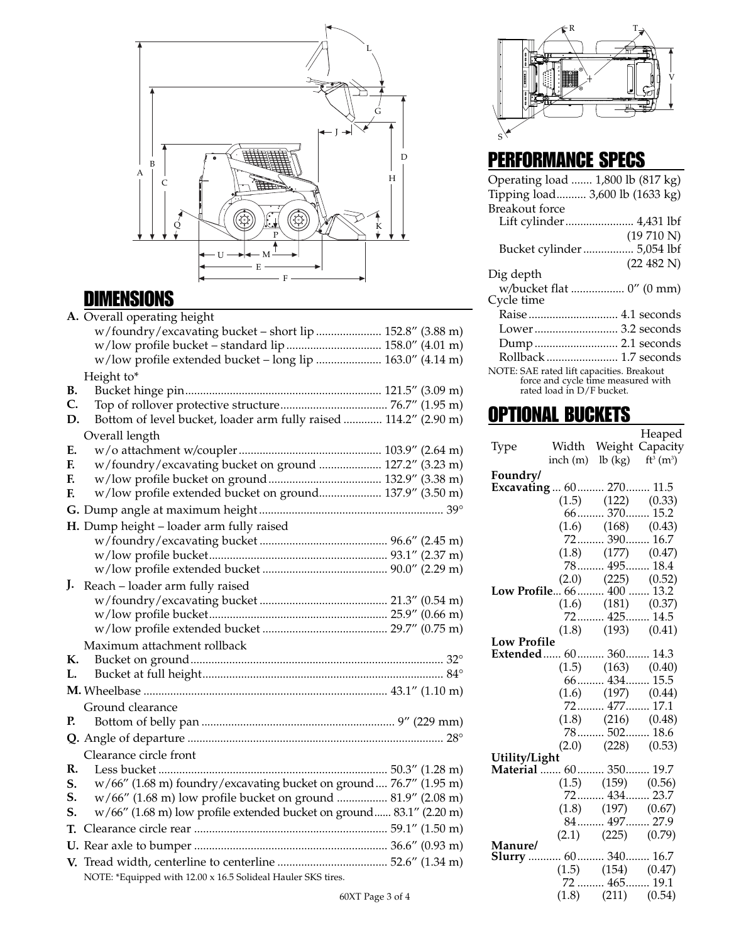

## DIMENSIONS

|    | A. Overall operating height                                            |  |  |
|----|------------------------------------------------------------------------|--|--|
|    | w/foundry/excavating bucket - short lip  152.8" (3.88 m)               |  |  |
|    |                                                                        |  |  |
|    | w/low profile extended bucket - long lip  163.0" (4.14 m)              |  |  |
|    | Height to*                                                             |  |  |
| В. |                                                                        |  |  |
| C. |                                                                        |  |  |
| D. | Bottom of level bucket, loader arm fully raised  114.2" (2.90 m)       |  |  |
|    | Overall length                                                         |  |  |
| E. |                                                                        |  |  |
| F. | w/foundry/excavating bucket on ground  127.2" (3.23 m)                 |  |  |
| F. |                                                                        |  |  |
| F. | w/low profile extended bucket on ground 137.9" (3.50 m)                |  |  |
|    |                                                                        |  |  |
|    | H. Dump height - loader arm fully raised                               |  |  |
|    |                                                                        |  |  |
|    |                                                                        |  |  |
|    |                                                                        |  |  |
| J. | Reach - loader arm fully raised                                        |  |  |
|    |                                                                        |  |  |
|    |                                                                        |  |  |
|    |                                                                        |  |  |
|    | Maximum attachment rollback                                            |  |  |
| К. |                                                                        |  |  |
| L. |                                                                        |  |  |
|    |                                                                        |  |  |
|    | Ground clearance                                                       |  |  |
| P. |                                                                        |  |  |
|    |                                                                        |  |  |
|    | Clearance circle front                                                 |  |  |
| R. |                                                                        |  |  |
| S. | w/66" (1.68 m) foundry/excavating bucket on ground  76.7" (1.95 m)     |  |  |
| S. | w/66" (1.68 m) low profile bucket on ground  81.9" (2.08 m)            |  |  |
| S. | $w/66''$ (1.68 m) low profile extended bucket on ground 83.1" (2.20 m) |  |  |
| Т. |                                                                        |  |  |
|    |                                                                        |  |  |
|    |                                                                        |  |  |
|    | NOTE: *Equipped with 12.00 x 16.5 Solideal Hauler SKS tires.           |  |  |
|    |                                                                        |  |  |

S R V T

# PERFORMANCE SPECS

| Operating load  1,800 lb (817 kg)                                                                                  |
|--------------------------------------------------------------------------------------------------------------------|
| Tipping load 3,600 lb (1633 kg)                                                                                    |
| <b>Breakout</b> force                                                                                              |
|                                                                                                                    |
| (19710 N)                                                                                                          |
| Bucket cylinder 5,054 lbf                                                                                          |
| (22 482 N)                                                                                                         |
| Dig depth                                                                                                          |
| w/bucket flat  0" (0 mm)                                                                                           |
| Cycle time                                                                                                         |
| Raise  4.1 seconds                                                                                                 |
| Lower 3.2 seconds                                                                                                  |
| Dump 2.1 seconds                                                                                                   |
| Rollback  1.7 seconds                                                                                              |
| NOTE: SAE rated lift capacities. Breakout<br>force and cycle time measured with<br>rated load in $\rm D/F$ bucket. |

# **OPTIONAL BUCKETS**

|                                          |                                         | Heaped                                    |
|------------------------------------------|-----------------------------------------|-------------------------------------------|
| Type                                     |                                         | Width Weight Capacity                     |
|                                          |                                         | inch (m) lb (kg) $ft^3$ (m <sup>3</sup> ) |
| Foundry/                                 |                                         |                                           |
| Excavating  60  270  11.5                |                                         |                                           |
|                                          | $(1.5)$ $(122)$ $(0.33)$                |                                           |
|                                          | 66 370 15.2                             |                                           |
|                                          | $(1.6)$ $(168)$ $(0.43)$                |                                           |
|                                          | 72 390 16.7                             |                                           |
|                                          | $(1.8)$ $(177)$ $(0.47)$                |                                           |
|                                          | 78 495 18.4                             |                                           |
|                                          | $(2.0)$ $(225)$ $(0.52)$                |                                           |
| Low Profile 66 400  13.2                 |                                         |                                           |
|                                          | $(1.6)$ $(181)$ $(0.37)$                |                                           |
|                                          | 72 425 14.5                             |                                           |
|                                          | $(1.8)$ $(193)$ $(0.41)$                |                                           |
| <b>Low Profile</b>                       |                                         |                                           |
| Extended 60 360 14.3                     |                                         |                                           |
|                                          | $(1.5)$ $(163)$ $(0.40)$                |                                           |
|                                          | 66 434 15.5                             |                                           |
|                                          | $(1.6)$ $(197)$ $(0.44)$<br>72 477 17.1 |                                           |
|                                          |                                         |                                           |
|                                          | $(1.8)$ $(216)$ $(0.48)$<br>78 502 18.6 |                                           |
|                                          |                                         |                                           |
|                                          | $(2.0)$ $(228)$ $(0.53)$                |                                           |
| Utility/Light<br>Material  60  350  19.7 |                                         |                                           |
|                                          |                                         |                                           |
|                                          | $(1.5)$ $(159)$ $(0.56)$<br>72 434 23.7 |                                           |
|                                          |                                         |                                           |
|                                          | $(1.8)$ $(197)$ $(0.67)$<br>84 497 27.9 |                                           |
|                                          | $(2.1)$ $(225)$ $(0.79)$                |                                           |
| <b>Manure/</b>                           |                                         |                                           |
| Slurry  60 340 16.7                      |                                         |                                           |
|                                          | $(1.5)$ $(154)$ $(0.47)$                |                                           |
|                                          | $72$ 465  19.1                          |                                           |
|                                          | $(1.8)$ $(211)$ $(0.54)$                |                                           |